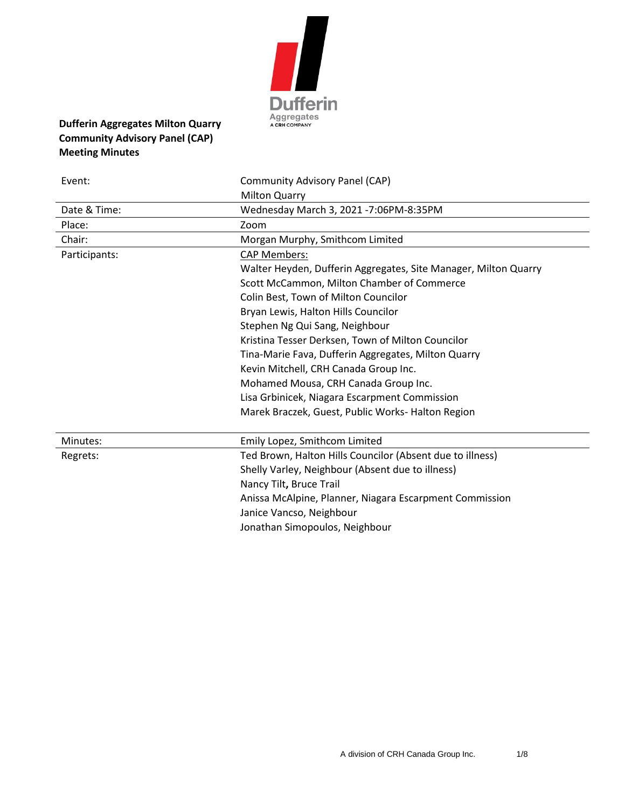

# **Dufferin Aggregates Milton Quarry Community Advisory Panel (CAP) Meeting Minutes**

| Event:        | Community Advisory Panel (CAP)                                  |
|---------------|-----------------------------------------------------------------|
|               | <b>Milton Quarry</b>                                            |
| Date & Time:  | Wednesday March 3, 2021 -7:06PM-8:35PM                          |
| Place:        | Zoom                                                            |
| Chair:        | Morgan Murphy, Smithcom Limited                                 |
| Participants: | <b>CAP Members:</b>                                             |
|               | Walter Heyden, Dufferin Aggregates, Site Manager, Milton Quarry |
|               | Scott McCammon, Milton Chamber of Commerce                      |
|               | Colin Best, Town of Milton Councilor                            |
|               | Bryan Lewis, Halton Hills Councilor                             |
|               | Stephen Ng Qui Sang, Neighbour                                  |
|               | Kristina Tesser Derksen, Town of Milton Councilor               |
|               | Tina-Marie Fava, Dufferin Aggregates, Milton Quarry             |
|               | Kevin Mitchell, CRH Canada Group Inc.                           |
|               | Mohamed Mousa, CRH Canada Group Inc.                            |
|               | Lisa Grbinicek, Niagara Escarpment Commission                   |
|               | Marek Braczek, Guest, Public Works- Halton Region               |
|               |                                                                 |
| Minutes:      | Emily Lopez, Smithcom Limited                                   |
| Regrets:      | Ted Brown, Halton Hills Councilor (Absent due to illness)       |
|               | Shelly Varley, Neighbour (Absent due to illness)                |
|               | Nancy Tilt, Bruce Trail                                         |
|               | Anissa McAlpine, Planner, Niagara Escarpment Commission         |
|               | Janice Vancso, Neighbour                                        |
|               | Jonathan Simopoulos, Neighbour                                  |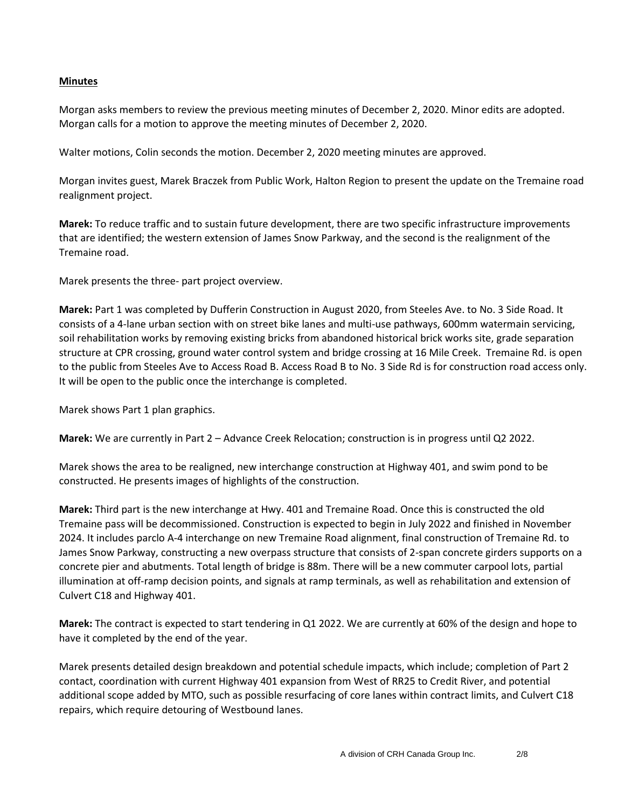## **Minutes**

Morgan asks members to review the previous meeting minutes of December 2, 2020. Minor edits are adopted. Morgan calls for a motion to approve the meeting minutes of December 2, 2020.

Walter motions, Colin seconds the motion. December 2, 2020 meeting minutes are approved.

Morgan invites guest, Marek Braczek from Public Work, Halton Region to present the update on the Tremaine road realignment project.

**Marek:** To reduce traffic and to sustain future development, there are two specific infrastructure improvements that are identified; the western extension of James Snow Parkway, and the second is the realignment of the Tremaine road.

Marek presents the three- part project overview.

**Marek:** Part 1 was completed by Dufferin Construction in August 2020, from Steeles Ave. to No. 3 Side Road. It consists of a 4-lane urban section with on street bike lanes and multi-use pathways, 600mm watermain servicing, soil rehabilitation works by removing existing bricks from abandoned historical brick works site, grade separation structure at CPR crossing, ground water control system and bridge crossing at 16 Mile Creek. Tremaine Rd. is open to the public from Steeles Ave to Access Road B. Access Road B to No. 3 Side Rd is for construction road access only. It will be open to the public once the interchange is completed.

Marek shows Part 1 plan graphics.

**Marek:** We are currently in Part 2 – Advance Creek Relocation; construction is in progress until Q2 2022.

Marek shows the area to be realigned, new interchange construction at Highway 401, and swim pond to be constructed. He presents images of highlights of the construction.

**Marek:** Third part is the new interchange at Hwy. 401 and Tremaine Road. Once this is constructed the old Tremaine pass will be decommissioned. Construction is expected to begin in July 2022 and finished in November 2024. It includes parclo A-4 interchange on new Tremaine Road alignment, final construction of Tremaine Rd. to James Snow Parkway, constructing a new overpass structure that consists of 2-span concrete girders supports on a concrete pier and abutments. Total length of bridge is 88m. There will be a new commuter carpool lots, partial illumination at off-ramp decision points, and signals at ramp terminals, as well as rehabilitation and extension of Culvert C18 and Highway 401.

**Marek:** The contract is expected to start tendering in Q1 2022. We are currently at 60% of the design and hope to have it completed by the end of the year.

Marek presents detailed design breakdown and potential schedule impacts, which include; completion of Part 2 contact, coordination with current Highway 401 expansion from West of RR25 to Credit River, and potential additional scope added by MTO, such as possible resurfacing of core lanes within contract limits, and Culvert C18 repairs, which require detouring of Westbound lanes.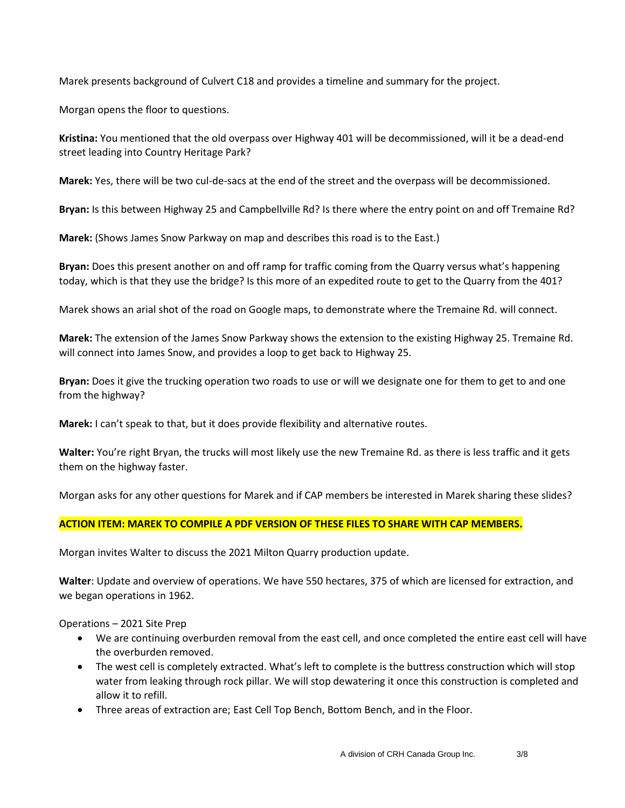Marek presents background of Culvert C18 and provides a timeline and summary for the project.

Morgan opens the floor to questions.

**Kristina:** You mentioned that the old overpass over Highway 401 will be decommissioned, will it be a dead-end street leading into Country Heritage Park?

**Marek:** Yes, there will be two cul-de-sacs at the end of the street and the overpass will be decommissioned.

**Bryan:** Is this between Highway 25 and Campbellville Rd? Is there where the entry point on and off Tremaine Rd?

**Marek:** (Shows James Snow Parkway on map and describes this road is to the East.)

**Bryan:** Does this present another on and off ramp for traffic coming from the Quarry versus what's happening today, which is that they use the bridge? Is this more of an expedited route to get to the Quarry from the 401?

Marek shows an arial shot of the road on Google maps, to demonstrate where the Tremaine Rd. will connect.

**Marek:** The extension of the James Snow Parkway shows the extension to the existing Highway 25. Tremaine Rd. will connect into James Snow, and provides a loop to get back to Highway 25.

**Bryan:** Does it give the trucking operation two roads to use or will we designate one for them to get to and one from the highway?

**Marek:** I can't speak to that, but it does provide flexibility and alternative routes.

**Walter:** You're right Bryan, the trucks will most likely use the new Tremaine Rd. as there is less traffic and it gets them on the highway faster.

Morgan asks for any other questions for Marek and if CAP members be interested in Marek sharing these slides?

# **ACTION ITEM: MAREK TO COMPILE A PDF VERSION OF THESE FILES TO SHARE WITH CAP MEMBERS.**

Morgan invites Walter to discuss the 2021 Milton Quarry production update.

**Walter**: Update and overview of operations. We have 550 hectares, 375 of which are licensed for extraction, and we began operations in 1962.

Operations – 2021 Site Prep

- We are continuing overburden removal from the east cell, and once completed the entire east cell will have the overburden removed.
- The west cell is completely extracted. What's left to complete is the buttress construction which will stop water from leaking through rock pillar. We will stop dewatering it once this construction is completed and allow it to refill.
- Three areas of extraction are; East Cell Top Bench, Bottom Bench, and in the Floor.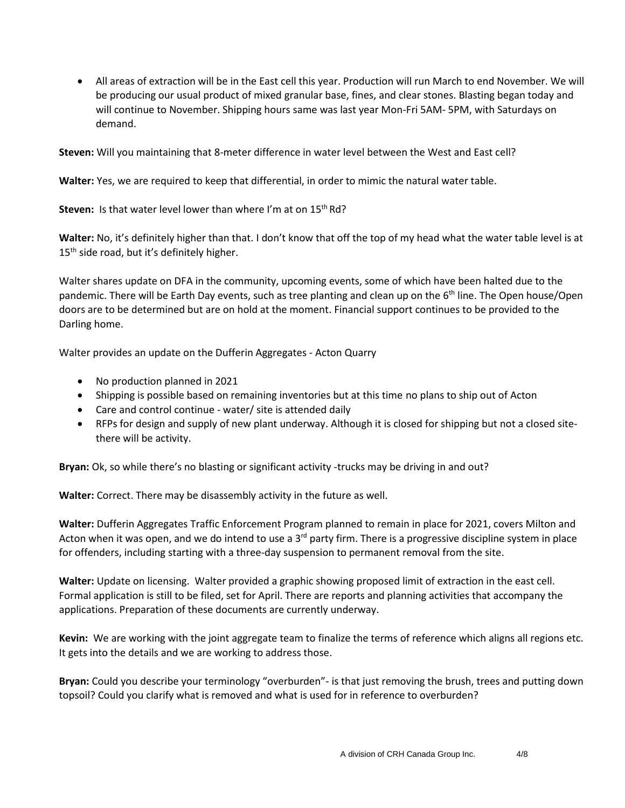• All areas of extraction will be in the East cell this year. Production will run March to end November. We will be producing our usual product of mixed granular base, fines, and clear stones. Blasting began today and will continue to November. Shipping hours same was last year Mon-Fri 5AM- 5PM, with Saturdays on demand.

**Steven:** Will you maintaining that 8-meter difference in water level between the West and East cell?

**Walter:** Yes, we are required to keep that differential, in order to mimic the natural water table.

Steven: Is that water level lower than where I'm at on 15<sup>th</sup> Rd?

**Walter:** No, it's definitely higher than that. I don't know that off the top of my head what the water table level is at 15<sup>th</sup> side road, but it's definitely higher.

Walter shares update on DFA in the community, upcoming events, some of which have been halted due to the pandemic. There will be Earth Day events, such as tree planting and clean up on the 6<sup>th</sup> line. The Open house/Open doors are to be determined but are on hold at the moment. Financial support continues to be provided to the Darling home.

Walter provides an update on the Dufferin Aggregates - Acton Quarry

- No production planned in 2021
- Shipping is possible based on remaining inventories but at this time no plans to ship out of Acton
- Care and control continue water/ site is attended daily
- RFPs for design and supply of new plant underway. Although it is closed for shipping but not a closed sitethere will be activity.

**Bryan:** Ok, so while there's no blasting or significant activity -trucks may be driving in and out?

**Walter:** Correct. There may be disassembly activity in the future as well.

**Walter:** Dufferin Aggregates Traffic Enforcement Program planned to remain in place for 2021, covers Milton and Acton when it was open, and we do intend to use a 3<sup>rd</sup> party firm. There is a progressive discipline system in place for offenders, including starting with a three-day suspension to permanent removal from the site.

**Walter:** Update on licensing. Walter provided a graphic showing proposed limit of extraction in the east cell. Formal application is still to be filed, set for April. There are reports and planning activities that accompany the applications. Preparation of these documents are currently underway.

**Kevin:** We are working with the joint aggregate team to finalize the terms of reference which aligns all regions etc. It gets into the details and we are working to address those.

**Bryan:** Could you describe your terminology "overburden"- is that just removing the brush, trees and putting down topsoil? Could you clarify what is removed and what is used for in reference to overburden?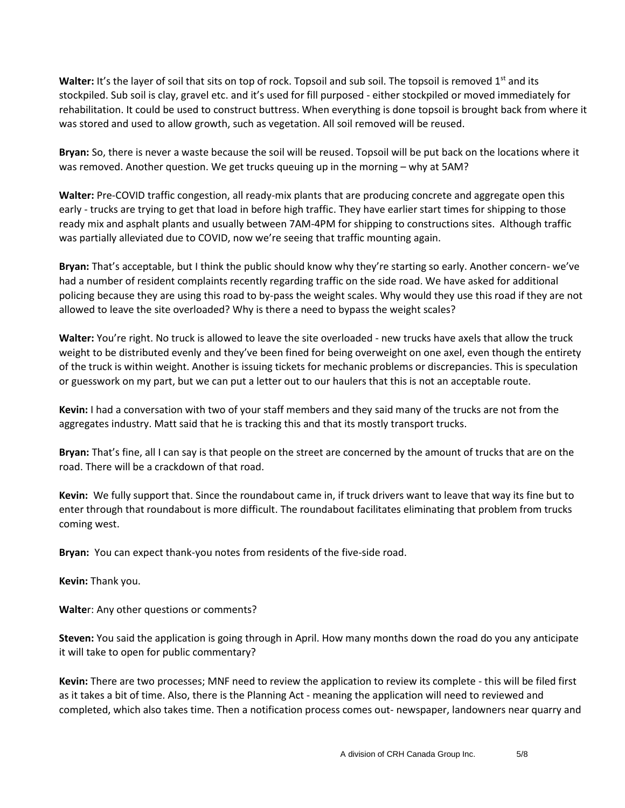Walter: It's the layer of soil that sits on top of rock. Topsoil and sub soil. The topsoil is removed 1<sup>st</sup> and its stockpiled. Sub soil is clay, gravel etc. and it's used for fill purposed - either stockpiled or moved immediately for rehabilitation. It could be used to construct buttress. When everything is done topsoil is brought back from where it was stored and used to allow growth, such as vegetation. All soil removed will be reused.

**Bryan:** So, there is never a waste because the soil will be reused. Topsoil will be put back on the locations where it was removed. Another question. We get trucks queuing up in the morning – why at 5AM?

**Walter:** Pre-COVID traffic congestion, all ready-mix plants that are producing concrete and aggregate open this early - trucks are trying to get that load in before high traffic. They have earlier start times for shipping to those ready mix and asphalt plants and usually between 7AM-4PM for shipping to constructions sites. Although traffic was partially alleviated due to COVID, now we're seeing that traffic mounting again.

**Bryan:** That's acceptable, but I think the public should know why they're starting so early. Another concern- we've had a number of resident complaints recently regarding traffic on the side road. We have asked for additional policing because they are using this road to by-pass the weight scales. Why would they use this road if they are not allowed to leave the site overloaded? Why is there a need to bypass the weight scales?

**Walter:** You're right. No truck is allowed to leave the site overloaded - new trucks have axels that allow the truck weight to be distributed evenly and they've been fined for being overweight on one axel, even though the entirety of the truck is within weight. Another is issuing tickets for mechanic problems or discrepancies. This is speculation or guesswork on my part, but we can put a letter out to our haulers that this is not an acceptable route.

**Kevin:** I had a conversation with two of your staff members and they said many of the trucks are not from the aggregates industry. Matt said that he is tracking this and that its mostly transport trucks.

**Bryan:** That's fine, all I can say is that people on the street are concerned by the amount of trucks that are on the road. There will be a crackdown of that road.

**Kevin:** We fully support that. Since the roundabout came in, if truck drivers want to leave that way its fine but to enter through that roundabout is more difficult. The roundabout facilitates eliminating that problem from trucks coming west.

**Bryan:** You can expect thank-you notes from residents of the five-side road.

**Kevin:** Thank you.

**Walte**r: Any other questions or comments?

**Steven:** You said the application is going through in April. How many months down the road do you any anticipate it will take to open for public commentary?

**Kevin:** There are two processes; MNF need to review the application to review its complete - this will be filed first as it takes a bit of time. Also, there is the Planning Act - meaning the application will need to reviewed and completed, which also takes time. Then a notification process comes out- newspaper, landowners near quarry and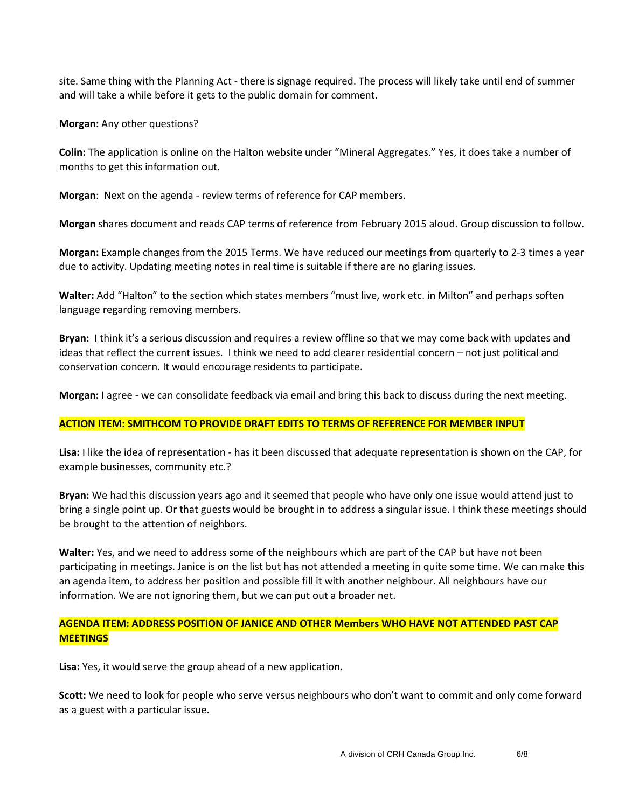site. Same thing with the Planning Act - there is signage required. The process will likely take until end of summer and will take a while before it gets to the public domain for comment.

**Morgan:** Any other questions?

**Colin:** The application is online on the Halton website under "Mineral Aggregates." Yes, it does take a number of months to get this information out.

**Morgan**: Next on the agenda - review terms of reference for CAP members.

**Morgan** shares document and reads CAP terms of reference from February 2015 aloud. Group discussion to follow.

**Morgan:** Example changes from the 2015 Terms. We have reduced our meetings from quarterly to 2-3 times a year due to activity. Updating meeting notes in real time is suitable if there are no glaring issues.

**Walter:** Add "Halton" to the section which states members "must live, work etc. in Milton" and perhaps soften language regarding removing members.

**Bryan:** I think it's a serious discussion and requires a review offline so that we may come back with updates and ideas that reflect the current issues. I think we need to add clearer residential concern – not just political and conservation concern. It would encourage residents to participate.

**Morgan:** I agree - we can consolidate feedback via email and bring this back to discuss during the next meeting.

#### **ACTION ITEM: SMITHCOM TO PROVIDE DRAFT EDITS TO TERMS OF REFERENCE FOR MEMBER INPUT**

**Lisa:** I like the idea of representation - has it been discussed that adequate representation is shown on the CAP, for example businesses, community etc.?

**Bryan:** We had this discussion years ago and it seemed that people who have only one issue would attend just to bring a single point up. Or that guests would be brought in to address a singular issue. I think these meetings should be brought to the attention of neighbors.

**Walter:** Yes, and we need to address some of the neighbours which are part of the CAP but have not been participating in meetings. Janice is on the list but has not attended a meeting in quite some time. We can make this an agenda item, to address her position and possible fill it with another neighbour. All neighbours have our information. We are not ignoring them, but we can put out a broader net.

## **AGENDA ITEM: ADDRESS POSITION OF JANICE AND OTHER Members WHO HAVE NOT ATTENDED PAST CAP MEETINGS**

**Lisa:** Yes, it would serve the group ahead of a new application.

**Scott:** We need to look for people who serve versus neighbours who don't want to commit and only come forward as a guest with a particular issue.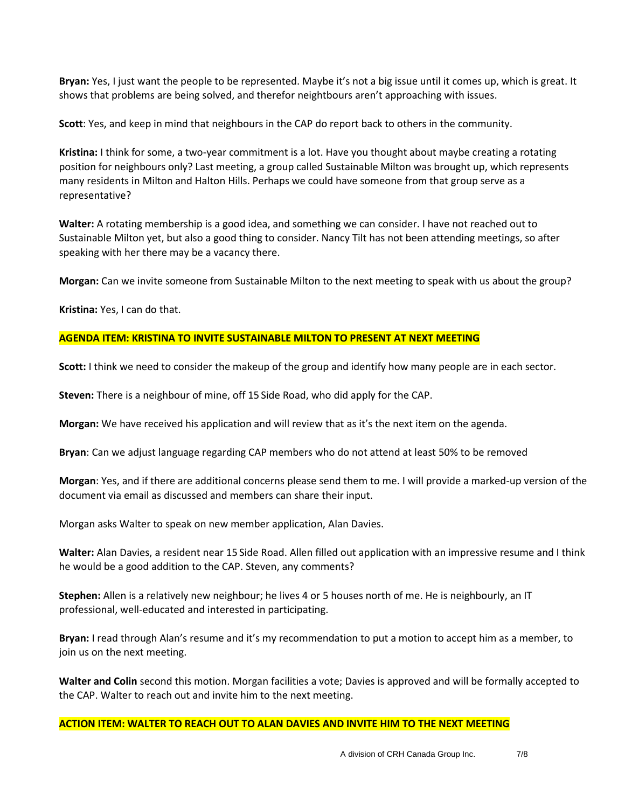**Bryan:** Yes, I just want the people to be represented. Maybe it's not a big issue until it comes up, which is great. It shows that problems are being solved, and therefor neightbours aren't approaching with issues.

**Scott**: Yes, and keep in mind that neighbours in the CAP do report back to others in the community.

**Kristina:** I think for some, a two-year commitment is a lot. Have you thought about maybe creating a rotating position for neighbours only? Last meeting, a group called Sustainable Milton was brought up, which represents many residents in Milton and Halton Hills. Perhaps we could have someone from that group serve as a representative?

**Walter:** A rotating membership is a good idea, and something we can consider. I have not reached out to Sustainable Milton yet, but also a good thing to consider. Nancy Tilt has not been attending meetings, so after speaking with her there may be a vacancy there.

**Morgan:** Can we invite someone from Sustainable Milton to the next meeting to speak with us about the group?

**Kristina:** Yes, I can do that.

#### **AGENDA ITEM: KRISTINA TO INVITE SUSTAINABLE MILTON TO PRESENT AT NEXT MEETING**

**Scott:** I think we need to consider the makeup of the group and identify how many people are in each sector.

**Steven:** There is a neighbour of mine, off 15 Side Road, who did apply for the CAP.

**Morgan:** We have received his application and will review that as it's the next item on the agenda.

**Bryan**: Can we adjust language regarding CAP members who do not attend at least 50% to be removed

**Morgan**: Yes, and if there are additional concerns please send them to me. I will provide a marked-up version of the document via email as discussed and members can share their input.

Morgan asks Walter to speak on new member application, Alan Davies.

**Walter:** Alan Davies, a resident near 15 Side Road. Allen filled out application with an impressive resume and I think he would be a good addition to the CAP. Steven, any comments?

**Stephen:** Allen is a relatively new neighbour; he lives 4 or 5 houses north of me. He is neighbourly, an IT professional, well-educated and interested in participating.

**Bryan:** I read through Alan's resume and it's my recommendation to put a motion to accept him as a member, to join us on the next meeting.

**Walter and Colin** second this motion. Morgan facilities a vote; Davies is approved and will be formally accepted to the CAP. Walter to reach out and invite him to the next meeting.

#### **ACTION ITEM: WALTER TO REACH OUT TO ALAN DAVIES AND INVITE HIM TO THE NEXT MEETING**